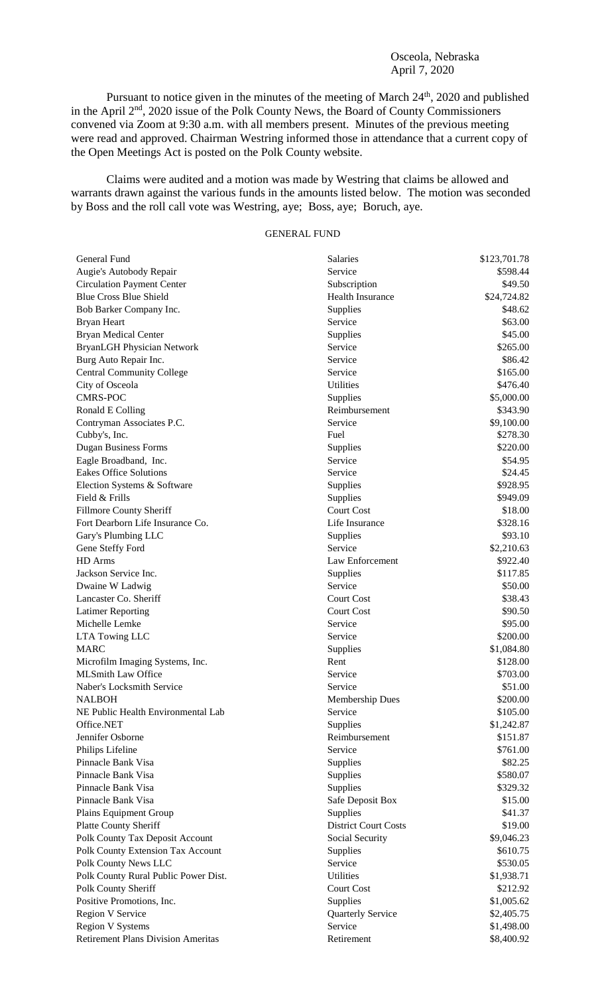### Osceola, Nebraska April 7, 2020

Pursuant to notice given in the minutes of the meeting of March 24<sup>th</sup>, 2020 and published in the April 2<sup>nd</sup>, 2020 issue of the Polk County News, the Board of County Commissioners convened via Zoom at 9:30 a.m. with all members present. Minutes of the previous meeting were read and approved. Chairman Westring informed those in attendance that a current copy of the Open Meetings Act is posted on the Polk County website.

Claims were audited and a motion was made by Westring that claims be allowed and warrants drawn against the various funds in the amounts listed below. The motion was seconded by Boss and the roll call vote was Westring, aye; Boss, aye; Boruch, aye.

# GENERAL FUND

| General Fund                                                 | Salaries                    | \$123,701.78           |
|--------------------------------------------------------------|-----------------------------|------------------------|
| Augie's Autobody Repair                                      | Service                     | \$598.44               |
| <b>Circulation Payment Center</b>                            | Subscription                | \$49.50                |
| <b>Blue Cross Blue Shield</b>                                | <b>Health Insurance</b>     | \$24,724.82            |
| Bob Barker Company Inc.                                      | Supplies                    | \$48.62                |
| <b>Bryan Heart</b>                                           | Service                     | \$63.00                |
| <b>Bryan Medical Center</b>                                  | Supplies                    | \$45.00                |
| <b>BryanLGH Physician Network</b>                            | Service                     | \$265.00               |
| Burg Auto Repair Inc.                                        | Service                     | \$86.42                |
| <b>Central Community College</b>                             | Service                     | \$165.00               |
| City of Osceola                                              | Utilities                   | \$476.40               |
| <b>CMRS-POC</b>                                              | Supplies                    | \$5,000.00             |
| Ronald E Colling                                             | Reimbursement               | \$343.90               |
| Contryman Associates P.C.                                    | Service                     | \$9,100.00             |
| Cubby's, Inc.                                                | Fuel                        | \$278.30               |
| <b>Dugan Business Forms</b>                                  | Supplies                    | \$220.00               |
| Eagle Broadband, Inc.                                        | Service                     | \$54.95                |
| <b>Eakes Office Solutions</b>                                | Service                     | \$24.45                |
| Election Systems & Software                                  | Supplies                    | \$928.95               |
| Field & Frills                                               | Supplies                    | \$949.09               |
| <b>Fillmore County Sheriff</b>                               | <b>Court Cost</b>           | \$18.00                |
| Fort Dearborn Life Insurance Co.                             | Life Insurance              | \$328.16               |
| Gary's Plumbing LLC                                          | Supplies                    | \$93.10                |
| Gene Steffy Ford                                             | Service                     | \$2,210.63             |
| HD Arms                                                      | Law Enforcement             | \$922.40               |
| Jackson Service Inc.                                         | Supplies                    | \$117.85               |
| Dwaine W Ladwig                                              | Service                     | \$50.00                |
| Lancaster Co. Sheriff                                        | <b>Court Cost</b>           | \$38.43                |
| <b>Latimer Reporting</b>                                     | <b>Court Cost</b>           | \$90.50                |
| Michelle Lemke                                               | Service                     | \$95.00                |
| LTA Towing LLC                                               | Service                     | \$200.00               |
| <b>MARC</b>                                                  | Supplies                    | \$1,084.80             |
|                                                              | Rent                        | \$128.00               |
| Microfilm Imaging Systems, Inc.<br><b>MLSmith Law Office</b> | Service                     | \$703.00               |
| Naber's Locksmith Service                                    | Service                     | \$51.00                |
| <b>NALBOH</b>                                                | <b>Membership Dues</b>      | \$200.00               |
| NE Public Health Environmental Lab                           |                             |                        |
| Office.NET                                                   | Service                     | \$105.00               |
| Jennifer Osborne                                             | Supplies                    | \$1,242.87<br>\$151.87 |
|                                                              | Reimbursement<br>Service    | \$761.00               |
| Philips Lifeline<br>Pinnacle Bank Visa                       |                             |                        |
|                                                              | Supplies                    | \$82.25                |
| Pinnacle Bank Visa                                           | Supplies                    | \$580.07               |
| Pinnacle Bank Visa                                           | Supplies                    | \$329.32               |
| Pinnacle Bank Visa                                           | Safe Deposit Box            | \$15.00                |
| <b>Plains Equipment Group</b>                                | Supplies                    | \$41.37                |
| Platte County Sheriff                                        | <b>District Court Costs</b> | \$19.00                |
| Polk County Tax Deposit Account                              | Social Security             | \$9,046.23             |
| Polk County Extension Tax Account                            | Supplies                    | \$610.75               |
| Polk County News LLC                                         | Service                     | \$530.05               |
| Polk County Rural Public Power Dist.                         | Utilities                   | \$1,938.71             |
| Polk County Sheriff                                          | <b>Court Cost</b>           | \$212.92               |
| Positive Promotions, Inc.                                    | Supplies                    | \$1,005.62             |
| <b>Region V Service</b>                                      | Quarterly Service           | \$2,405.75             |
| <b>Region V Systems</b>                                      | Service                     | \$1,498.00             |
| <b>Retirement Plans Division Ameritas</b>                    | Retirement                  | \$8,400.92             |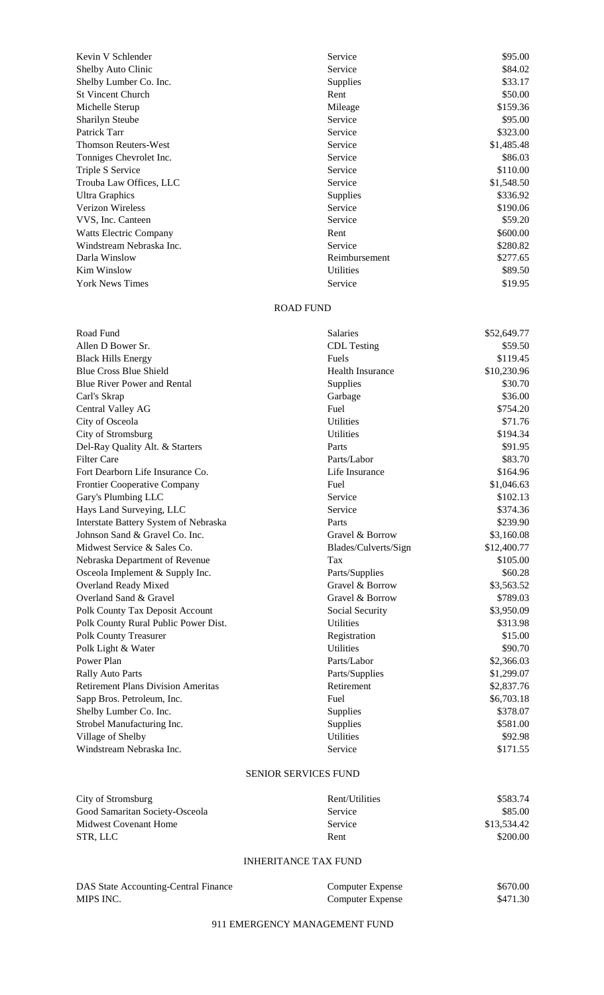| Kevin V Schlender             |
|-------------------------------|
| Shelby Auto Clinic            |
| Shelby Lumber Co. Inc.        |
| <b>St Vincent Church</b>      |
| Michelle Sterup               |
| <b>Sharilyn Steube</b>        |
| Patrick Tarr                  |
| <b>Thomson Reuters-West</b>   |
| Tonniges Chevrolet Inc.       |
| Triple S Service              |
| Trouba Law Offices, LLC       |
| Ultra Graphics                |
| <b>Verizon Wireless</b>       |
| VVS, Inc. Canteen             |
| <b>Watts Electric Company</b> |
| Windstream Nebraska Inc.      |
| Darla Winslow                 |
| Kim Winslow                   |
| <b>York News Times</b>        |

| Kevin V Schlender             | Service          | \$95.00    |
|-------------------------------|------------------|------------|
| Shelby Auto Clinic            | Service          | \$84.02    |
| Shelby Lumber Co. Inc.        | Supplies         | \$33.17    |
| <b>St Vincent Church</b>      | Rent             | \$50.00    |
| Michelle Sterup               | Mileage          | \$159.36   |
| <b>Sharilyn Steube</b>        | Service          | \$95.00    |
| Patrick Tarr                  | Service          | \$323.00   |
| <b>Thomson Reuters-West</b>   | Service          | \$1,485.48 |
| Tonniges Chevrolet Inc.       | Service          | \$86.03    |
| Triple S Service              | Service          | \$110.00   |
| Trouba Law Offices, LLC       | Service          | \$1,548.50 |
| <b>Ultra Graphics</b>         | Supplies         | \$336.92   |
| <b>Verizon Wireless</b>       | Service          | \$190.06   |
| VVS, Inc. Canteen             | Service          | \$59.20    |
| <b>Watts Electric Company</b> | Rent             | \$600.00   |
| Windstream Nebraska Inc.      | Service          | \$280.82   |
| Darla Winslow                 | Reimbursement    | \$277.65   |
| Kim Winslow                   | <b>Utilities</b> | \$89.50    |
| <b>York News Times</b>        | Service          | \$19.95    |
|                               |                  |            |

### ROAD FUND

| Road Fund                                 | Salaries                | \$52,649.77 |
|-------------------------------------------|-------------------------|-------------|
| Allen D Bower Sr.                         | <b>CDL</b> Testing      | \$59.50     |
| <b>Black Hills Energy</b>                 | Fuels                   | \$119.45    |
| <b>Blue Cross Blue Shield</b>             | <b>Health Insurance</b> | \$10,230.96 |
| <b>Blue River Power and Rental</b>        | Supplies                | \$30.70     |
| Carl's Skrap                              | Garbage                 | \$36.00     |
| Central Valley AG                         | Fuel                    | \$754.20    |
| City of Osceola                           | <b>Utilities</b>        | \$71.76     |
| City of Stromsburg                        | <b>Utilities</b>        | \$194.34    |
| Del-Ray Quality Alt. & Starters           | Parts                   | \$91.95     |
| <b>Filter Care</b>                        | Parts/Labor             | \$83.70     |
| Fort Dearborn Life Insurance Co.          | Life Insurance          | \$164.96    |
| Frontier Cooperative Company              | Fuel                    | \$1,046.63  |
| Gary's Plumbing LLC                       | Service                 | \$102.13    |
| Hays Land Surveying, LLC                  | Service                 | \$374.36    |
| Interstate Battery System of Nebraska     | Parts                   | \$239.90    |
| Johnson Sand & Gravel Co. Inc.            | Gravel & Borrow         | \$3,160.08  |
| Midwest Service & Sales Co.               | Blades/Culverts/Sign    | \$12,400.77 |
| Nebraska Department of Revenue            | Tax                     | \$105.00    |
| Osceola Implement & Supply Inc.           | Parts/Supplies          | \$60.28     |
| Overland Ready Mixed                      | Gravel & Borrow         | \$3,563.52  |
| Overland Sand & Gravel                    | Gravel & Borrow         | \$789.03    |
| Polk County Tax Deposit Account           | Social Security         | \$3,950.09  |
| Polk County Rural Public Power Dist.      | <b>Utilities</b>        | \$313.98    |
| <b>Polk County Treasurer</b>              | Registration            | \$15.00     |
| Polk Light & Water                        | <b>Utilities</b>        | \$90.70     |
| Power Plan                                | Parts/Labor             | \$2,366.03  |
| <b>Rally Auto Parts</b>                   | Parts/Supplies          | \$1,299.07  |
| <b>Retirement Plans Division Ameritas</b> | Retirement              | \$2,837.76  |
| Sapp Bros. Petroleum, Inc.                | Fuel                    | \$6,703.18  |
| Shelby Lumber Co. Inc.                    | Supplies                | \$378.07    |
| Strobel Manufacturing Inc.                | Supplies                | \$581.00    |
| Village of Shelby                         | <b>Utilities</b>        | \$92.98     |
| Windstream Nebraska Inc.                  | Service                 | \$171.55    |
|                                           |                         |             |

### SENIOR SERVICES FUND

| City of Stromsburg             | Rent/Utilities | \$583.74    |
|--------------------------------|----------------|-------------|
| Good Samaritan Society-Osceola | <b>Service</b> | \$85.00     |
| Midwest Covenant Home          | <b>Service</b> | \$13,534.42 |
| STR. LLC                       | Rent           | \$200.00    |

## INHERITANCE TAX FUND

| DAS State Accounting-Central Finance | Computer Expense | \$670.00 |
|--------------------------------------|------------------|----------|
| MIPS INC.                            | Computer Expense | \$471.30 |

911 EMERGENCY MANAGEMENT FUND